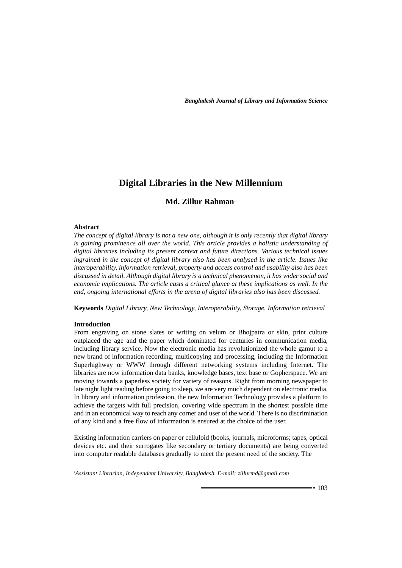# **Digital Libraries in the New Millennium**

# **Md. Zillur Rahman**<sup>1</sup>

#### **Abstract**

*The concept of digital library is not a new one, although it is only recently that digital library is gaining prominence all over the world. This article provides a holistic understanding of digital libraries including its present context and future directions. Various technical issues ingrained in the concept of digital library also has been analysed in the article. Issues like interoperability, information retrieval, property and access control and usability also has been discussed in detail. Although digital library is a technical phenomenon, it has wider social and economic implications. The article casts a critical glance at these implications as well. In the end, ongoing international efforts in the arena of digital libraries also has been discussed.* 

**Keywords** *Digital Library, New Technology, Interoperability, Storage, Information retrieval*

# **Introduction**

From engraving on stone slates or writing on velum or Bhojpatra or skin, print culture outplaced the age and the paper which dominated for centuries in communication media, including library service. Now the electronic media has revolutionized the whole gamut to a new brand of information recording, multicopying and processing, including the Information Superhighway or WWW through different networking systems including Internet. The libraries are now information data banks, knowledge bases, text base or Gopherspace. We are moving towards a paperless society for variety of reasons. Right from morning newspaper to late night light reading before going to sleep, we are very much dependent on electronic media. In library and information profession, the new Information Technology provides a platform to achieve the targets with full precision, covering wide spectrum in the shortest possible time and in an economical way to reach any corner and user of the world. There is no discrimination of any kind and a free flow of information is ensured at the choice of the user.

Existing information carriers on paper or celluloid (books, journals, microforms; tapes, optical devices etc. and their surrogates like secondary or tertiary documents) are being converted into computer readable databases gradually to meet the present need of the society. The

*1 Assistant Librarian, Independent University, Bangladesh. E-mail: zillurmd@gmail.com*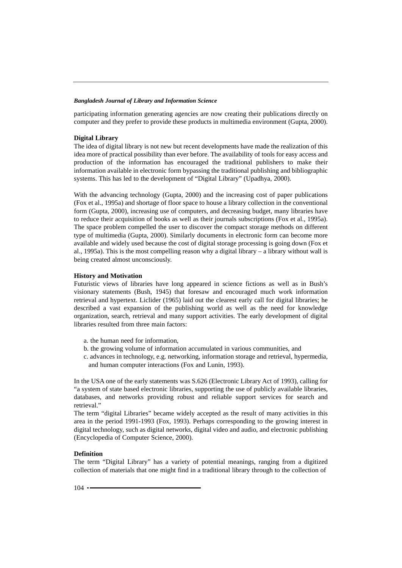participating information generating agencies are now creating their publications directly on computer and they prefer to provide these products in multimedia environment (Gupta, 2000).

#### **Digital Library**

The idea of digital library is not new but recent developments have made the realization of this idea more of practical possibility than ever before. The availability of tools for easy access and production of the information has encouraged the traditional publishers to make their information available in electronic form bypassing the traditional publishing and bibliographic systems. This has led to the development of "Digital Library" (Upadhya, 2000).

With the advancing technology (Gupta, 2000) and the increasing cost of paper publications (Fox et al., 1995a) and shortage of floor space to house a library collection in the conventional form (Gupta, 2000), increasing use of computers, and decreasing budget, many libraries have to reduce their acquisition of books as well as their journals subscriptions (Fox et al., 1995a). The space problem compelled the user to discover the compact storage methods on different type of multimedia (Gupta, 2000). Similarly documents in electronic form can become more available and widely used because the cost of digital storage processing is going down (Fox et al., 1995a). This is the most compelling reason why a digital library – a library without wall is being created almost unconsciously.

#### **History and Motivation**

Futuristic views of libraries have long appeared in science fictions as well as in Bush's visionary statements (Bush, 1945) that foresaw and encouraged much work information retrieval and hypertext. Liclider (1965) laid out the clearest early call for digital libraries; he described a vast expansion of the publishing world as well as the need for knowledge organization, search, retrieval and many support activities. The early development of digital libraries resulted from three main factors:

- a. the human need for information,
- b. the growing volume of information accumulated in various communities, and
- c. advances in technology, e.g. networking, information storage and retrieval, hypermedia, and human computer interactions (Fox and Lunin, 1993).

In the USA one of the early statements was S.626 (Electronic Library Act of 1993), calling for "a system of state based electronic libraries, supporting the use of publicly available libraries, databases, and networks providing robust and reliable support services for search and retrieval."

The term "digital Libraries" became widely accepted as the result of many activities in this area in the period 1991-1993 (Fox, 1993). Perhaps corresponding to the growing interest in digital technology, such as digital networks, digital video and audio, and electronic publishing (Encyclopedia of Computer Science, 2000).

# **Definition**

The term "Digital Library" has a variety of potential meanings, ranging from a digitized collection of materials that one might find in a traditional library through to the collection of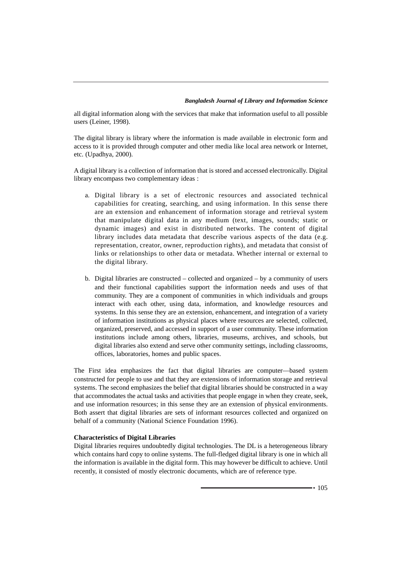all digital information along with the services that make that information useful to all possible users (Leiner, 1998).

The digital library is library where the information is made available in electronic form and access to it is provided through computer and other media like local area network or Internet, etc. (Upadhya, 2000).

A digital library is a collection of information that is stored and accessed electronically. Digital library encompass two complementary ideas :

- a. Digital library is a set of electronic resources and associated technical capabilities for creating, searching, and using information. In this sense there are an extension and enhancement of information storage and retrieval system that manipulate digital data in any medium (text, images, sounds; static or dynamic images) and exist in distributed networks. The content of digital library includes data metadata that describe various aspects of the data (e.g. representation, creator, owner, reproduction rights), and metadata that consist of links or relationships to other data or metadata. Whether internal or external to the digital library.
- b. Digital libraries are constructed collected and organized by a community of users and their functional capabilities support the information needs and uses of that community. They are a component of communities in which individuals and groups interact with each other, using data, information, and knowledge resources and systems. In this sense they are an extension, enhancement, and integration of a variety of information institutions as physical places where resources are selected, collected, organized, preserved, and accessed in support of a user community. These information institutions include among others, libraries, museums, archives, and schools, but digital libraries also extend and serve other community settings, including classrooms, offices, laboratories, homes and public spaces.

The First idea emphasizes the fact that digital libraries are computer—based system constructed for people to use and that they are extensions of information storage and retrieval systems. The second emphasizes the belief that digital libraries should be constructed in a way that accommodates the actual tasks and activities that people engage in when they create, seek, and use information resources; in this sense they are an extension of physical environments. Both assert that digital libraries are sets of informant resources collected and organized on behalf of a community (National Science Foundation 1996).

# **Characteristics of Digital Libraries**

Digital libraries requires undoubtedly digital technologies. The DL is a heterogeneous library which contains hard copy to online systems. The full-fledged digital library is one in which all the information is available in the digital form. This may however be difficult to achieve. Until recently, it consisted of mostly electronic documents, which are of reference type.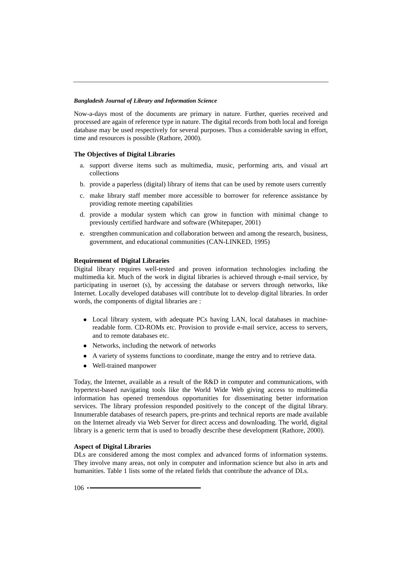Now-a-days most of the documents are primary in nature. Further, queries received and processed are again of reference type in nature. The digital records from both local and foreign database may be used respectively for several purposes. Thus a considerable saving in effort, time and resources is possible (Rathore, 2000).

# **The Objectives of Digital Libraries**

- a. support diverse items such as multimedia, music, performing arts, and visual art collections
- b. provide a paperless (digital) library of items that can be used by remote users currently
- c. make library staff member more accessible to borrower for reference assistance by providing remote meeting capabilities
- d. provide a modular system which can grow in function with minimal change to previously certified hardware and software (Whitepaper, 2001)
- e. strengthen communication and collaboration between and among the research, business, government, and educational communities (CAN-LINKED, 1995)

# **Requirement of Digital Libraries**

Digital library requires well-tested and proven information technologies including the multimedia kit. Much of the work in digital libraries is achieved through e-mail service, by participating in usernet (s), by accessing the database or servers through networks, like Internet. Locally developed databases will contribute lot to develop digital libraries. In order words, the components of digital libraries are :

- Local library system, with adequate PCs having LAN, local databases in machinereadable form. CD-ROMs etc. Provision to provide e-mail service, access to servers, and to remote databases etc.
- Networks, including the network of networks
- A variety of systems functions to coordinate, mange the entry and to retrieve data.
- Well-trained manpower

Today, the Internet, available as a result of the R&D in computer and communications, with hypertext-based navigating tools like the World Wide Web giving access to multimedia information has opened tremendous opportunities for disseminating better information services. The library profession responded positively to the concept of the digital library. Innumerable databases of research papers, pre-prints and technical reports are made available on the Internet already via Web Server for direct access and downloading. The world, digital library is a generic term that is used to broadly describe these development (Rathore, 2000).

# **Aspect of Digital Libraries**

DLs are considered among the most complex and advanced forms of information systems. They involve many areas, not only in computer and information science but also in arts and humanities. Table 1 lists some of the related fields that contribute the advance of DLs.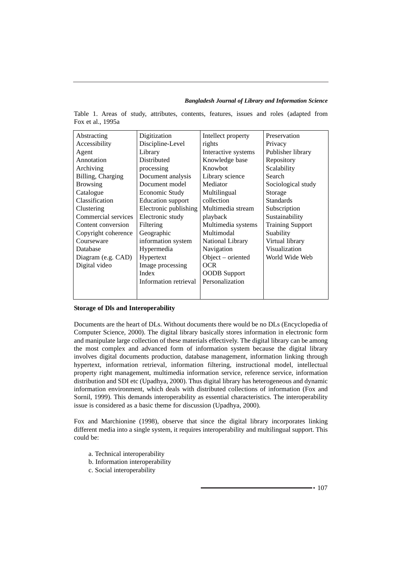Table 1. Areas of study, attributes, contents, features, issues and roles (adapted from Fox et al., 1995a

| Abstracting         | Digitization          | Intellect property  | Preservation            |
|---------------------|-----------------------|---------------------|-------------------------|
| Accessibility       | Discipline-Level      | rights              | Privacy                 |
| Agent               | Library               | Interactive systems | Publisher library       |
| Annotation          | Distributed           | Knowledge base      | Repository              |
| Archiving           | processing            | Knowbot             | Scalability             |
| Billing, Charging   | Document analysis     | Library science     | Search                  |
| <b>Browsing</b>     | Document model        | Mediator            | Sociological study      |
| Catalogue           | Economic Study        | Multilingual        | Storage                 |
| Classification      | Education support     | collection          | <b>Standards</b>        |
| Clustering          | Electronic publishing | Multimedia stream   | Subscription            |
| Commercial services | Electronic study      | playback            | Sustainability          |
| Content conversion  | Filtering             | Multimedia systems  | <b>Training Support</b> |
| Copyright coherence | Geographic            | Multimodal          | Suability               |
| Courseware          | information system    | National Library    | Virtual library         |
| Database            | Hypermedia            | Navigation          | Visualization           |
| Diagram (e.g. CAD)  | Hypertext             | $Object - oriented$ | World Wide Web          |
| Digital video       | Image processing      | <b>OCR</b>          |                         |
|                     | Index                 | <b>OODB</b> Support |                         |
|                     | Information retrieval | Personalization     |                         |
|                     |                       |                     |                         |
|                     |                       |                     |                         |

#### **Storage of Dls and Interoperability**

Documents are the heart of DLs. Without documents there would be no DLs (Encyclopedia of Computer Science, 2000). The digital library basically stores information in electronic form and manipulate large collection of these materials effectively. The digital library can be among the most complex and advanced form of information system because the digital library involves digital documents production, database management, information linking through hypertext, information retrieval, information filtering, instructional model, intellectual property right management, multimedia information service, reference service, information distribution and SDI etc (Upadhya, 2000). Thus digital library has heterogeneous and dynamic information environment, which deals with distributed collections of information (Fox and Sornil, 1999). This demands interoperability as essential characteristics. The interoperability issue is considered as a basic theme for discussion (Upadhya, 2000).

Fox and Marchionine (1998), observe that since the digital library incorporates linking different media into a single system, it requires interoperability and multilingual support. This could be:

- a. Technical interoperability
- b. Information interoperability
- c. Social interoperability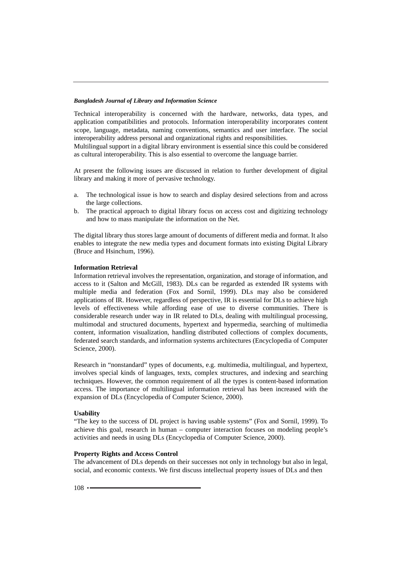Technical interoperability is concerned with the hardware, networks, data types, and application compatibilities and protocols. Information interoperability incorporates content scope, language, metadata, naming conventions, semantics and user interface. The social interoperability address personal and organizational rights and responsibilities.

Multilingual support in a digital library environment is essential since this could be considered as cultural interoperability. This is also essential to overcome the language barrier.

At present the following issues are discussed in relation to further development of digital library and making it more of pervasive technology.

- a. The technological issue is how to search and display desired selections from and across the large collections.
- b. The practical approach to digital library focus on access cost and digitizing technology and how to mass manipulate the information on the Net.

The digital library thus stores large amount of documents of different media and format. It also enables to integrate the new media types and document formats into existing Digital Library (Bruce and Hsinchum, 1996).

# **Information Retrieval**

Information retrieval involves the representation, organization, and storage of information, and access to it (Salton and McGill, 1983). DLs can be regarded as extended IR systems with multiple media and federation (Fox and Sornil, 1999). DLs may also be considered applications of IR. However, regardless of perspective, IR is essential for DLs to achieve high levels of effectiveness while affording ease of use to diverse communities. There is considerable research under way in IR related to DLs, dealing with multilingual processing, multimodal and structured documents, hypertext and hypermedia, searching of multimedia content, information visualization, handling distributed collections of complex documents, federated search standards, and information systems architectures (Encyclopedia of Computer Science, 2000).

Research in "nonstandard" types of documents, e.g. multimedia, multilingual, and hypertext, involves special kinds of languages, texts, complex structures, and indexing and searching techniques. However, the common requirement of all the types is content-based information access. The importance of multilingual information retrieval has been increased with the expansion of DLs (Encyclopedia of Computer Science, 2000).

# **Usability**

"The key to the success of DL project is having usable systems" (Fox and Sornil, 1999). To achieve this goal, research in human – computer interaction focuses on modeling people's activities and needs in using DLs (Encyclopedia of Computer Science, 2000).

# **Property Rights and Access Control**

The advancement of DLs depends on their successes not only in technology but also in legal, social, and economic contexts. We first discuss intellectual property issues of DLs and then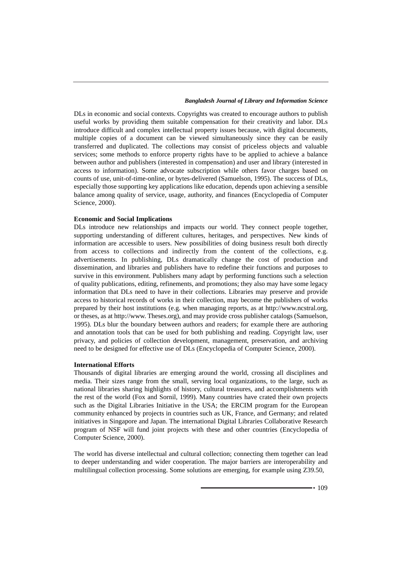DLs in economic and social contexts. Copyrights was created to encourage authors to publish useful works by providing them suitable compensation for their creativity and labor. DLs introduce difficult and complex intellectual property issues because, with digital documents, multiple copies of a document can be viewed simultaneously since they can be easily transferred and duplicated. The collections may consist of priceless objects and valuable services; some methods to enforce property rights have to be applied to achieve a balance between author and publishers (interested in compensation) and user and library (interested in access to information). Some advocate subscription while others favor charges based on counts of use, unit-of-time-online, or bytes-delivered (Samuelson, 1995). The success of DLs, especially those supporting key applications like education, depends upon achieving a sensible balance among quality of service, usage, authority, and finances (Encyclopedia of Computer Science, 2000).

# **Economic and Social Implications**

DLs introduce new relationships and impacts our world. They connect people together, supporting understanding of different cultures, heritages, and perspectives. New kinds of information are accessible to users. New possibilities of doing business result both directly from access to collections and indirectly from the content of the collections, e.g. advertisements. In publishing, DLs dramatically change the cost of production and dissemination, and libraries and publishers have to redefine their functions and purposes to survive in this environment. Publishers many adapt by performing functions such a selection of quality publications, editing, refinements, and promotions; they also may have some legacy information that DLs need to have in their collections. Libraries may preserve and provide access to historical records of works in their collection, may become the publishers of works prepared by their host institutions (e.g. when managing reports, as at http://www.ncstral.org, or theses, as at http://www. Theses.org), and may provide cross publisher catalogs (Samuelson, 1995). DLs blur the boundary between authors and readers; for example there are authoring and annotation tools that can be used for both publishing and reading. Copyright law, user privacy, and policies of collection development, management, preservation, and archiving need to be designed for effective use of DLs (Encyclopedia of Computer Science, 2000).

#### **International Efforts**

Thousands of digital libraries are emerging around the world, crossing all disciplines and media. Their sizes range from the small, serving local organizations, to the large, such as national libraries sharing highlights of history, cultural treasures, and accomplishments with the rest of the world (Fox and Sornil, 1999). Many countries have crated their own projects such as the Digital Libraries Initiative in the USA; the ERCIM program for the European community enhanced by projects in countries such as UK, France, and Germany; and related initiatives in Singapore and Japan. The international Digital Libraries Collaborative Research program of NSF will fund joint projects with these and other countries (Encyclopedia of Computer Science, 2000).

The world has diverse intellectual and cultural collection; connecting them together can lead to deeper understanding and wider cooperation. The major barriers are interoperability and multilingual collection processing. Some solutions are emerging, for example using Z39.50,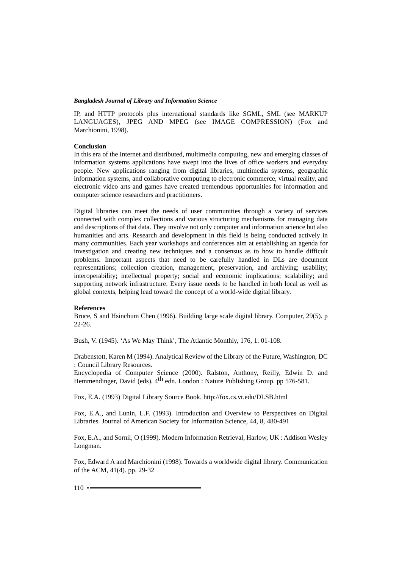IP, and HTTP protocols plus international standards like SGML, SML (see MARKUP LANGUAGES), JPEG AND MPEG (see IMAGE COMPRESSION) (Fox and Marchionini, 1998).

# **Conclusion**

In this era of the Internet and distributed, multimedia computing, new and emerging classes of information systems applications have swept into the lives of office workers and everyday people. New applications ranging from digital libraries, multimedia systems, geographic information systems, and collaborative computing to electronic commerce, virtual reality, and electronic video arts and games have created tremendous opportunities for information and computer science researchers and practitioners.

Digital libraries can meet the needs of user communities through a variety of services connected with complex collections and various structuring mechanisms for managing data and descriptions of that data. They involve not only computer and information science but also humanities and arts. Research and development in this field is being conducted actively in many communities. Each year workshops and conferences aim at establishing an agenda for investigation and creating new techniques and a consensus as to how to handle difficult problems. Important aspects that need to be carefully handled in DLs are document representations; collection creation, management, preservation, and archiving; usability; interoperability; intellectual property; social and economic implications; scalability; and supporting network infrastructure. Every issue needs to be handled in both local as well as global contexts, helping lead toward the concept of a world-wide digital library.

# **References**

Bruce, S and Hsinchum Chen (1996). Building large scale digital library. Computer, 29(5). p 22-26.

Bush, V. (1945). 'As We May Think', The Atlantic Monthly, 176, 1. 01-108.

Drabenstott, Karen M (1994). Analytical Review of the Library of the Future, Washington, DC : Council Library Resources.

Encyclopedia of Computer Science (2000). Ralston, Anthony, Reilly, Edwin D. and Hemmendinger, David (eds).  $4<sup>th</sup>$  edn. London : Nature Publishing Group. pp 576-581.

Fox, E.A. (1993) Digital Library Source Book. http://fox.cs.vt.edu/DLSB.html

Fox, E.A., and Lunin, L.F. (1993). Introduction and Overview to Perspectives on Digital Libraries. Journal of American Society for Information Science, 44, 8, 480-491

Fox, E.A., and Sornil, O (1999). Modern Information Retrieval, Harlow, UK : Addison Wesley Longman.

Fox, Edward A and Marchionini (1998). Towards a worldwide digital library. Communication of the ACM, 41(4). pp. 29-32